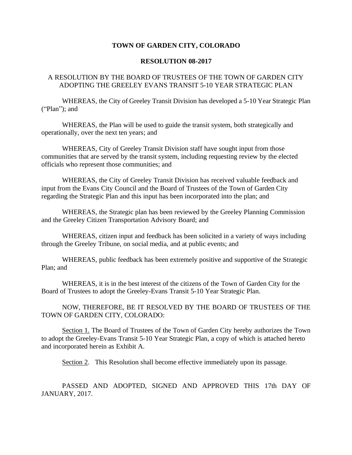## **TOWN OF GARDEN CITY, COLORADO**

## **RESOLUTION 08-2017**

## A RESOLUTION BY THE BOARD OF TRUSTEES OF THE TOWN OF GARDEN CITY ADOPTING THE GREELEY EVANS TRANSIT 5-10 YEAR STRATEGIC PLAN

WHEREAS, the City of Greeley Transit Division has developed a 5-10 Year Strategic Plan ("Plan"); and

WHEREAS, the Plan will be used to guide the transit system, both strategically and operationally, over the next ten years; and

WHEREAS, City of Greeley Transit Division staff have sought input from those communities that are served by the transit system, including requesting review by the elected officials who represent those communities; and

WHEREAS, the City of Greeley Transit Division has received valuable feedback and input from the Evans City Council and the Board of Trustees of the Town of Garden City regarding the Strategic Plan and this input has been incorporated into the plan; and

WHEREAS, the Strategic plan has been reviewed by the Greeley Planning Commission and the Greeley Citizen Transportation Advisory Board; and

WHEREAS, citizen input and feedback has been solicited in a variety of ways including through the Greeley Tribune, on social media, and at public events; and

WHEREAS, public feedback has been extremely positive and supportive of the Strategic Plan; and

WHEREAS, it is in the best interest of the citizens of the Town of Garden City for the Board of Trustees to adopt the Greeley-Evans Transit 5-10 Year Strategic Plan.

NOW, THEREFORE, BE IT RESOLVED BY THE BOARD OF TRUSTEES OF THE TOWN OF GARDEN CITY, COLORADO:

Section 1. The Board of Trustees of the Town of Garden City hereby authorizes the Town to adopt the Greeley-Evans Transit 5-10 Year Strategic Plan, a copy of which is attached hereto and incorporated herein as Exhibit A.

Section 2. This Resolution shall become effective immediately upon its passage.

PASSED AND ADOPTED, SIGNED AND APPROVED THIS 17th DAY OF JANUARY, 2017.